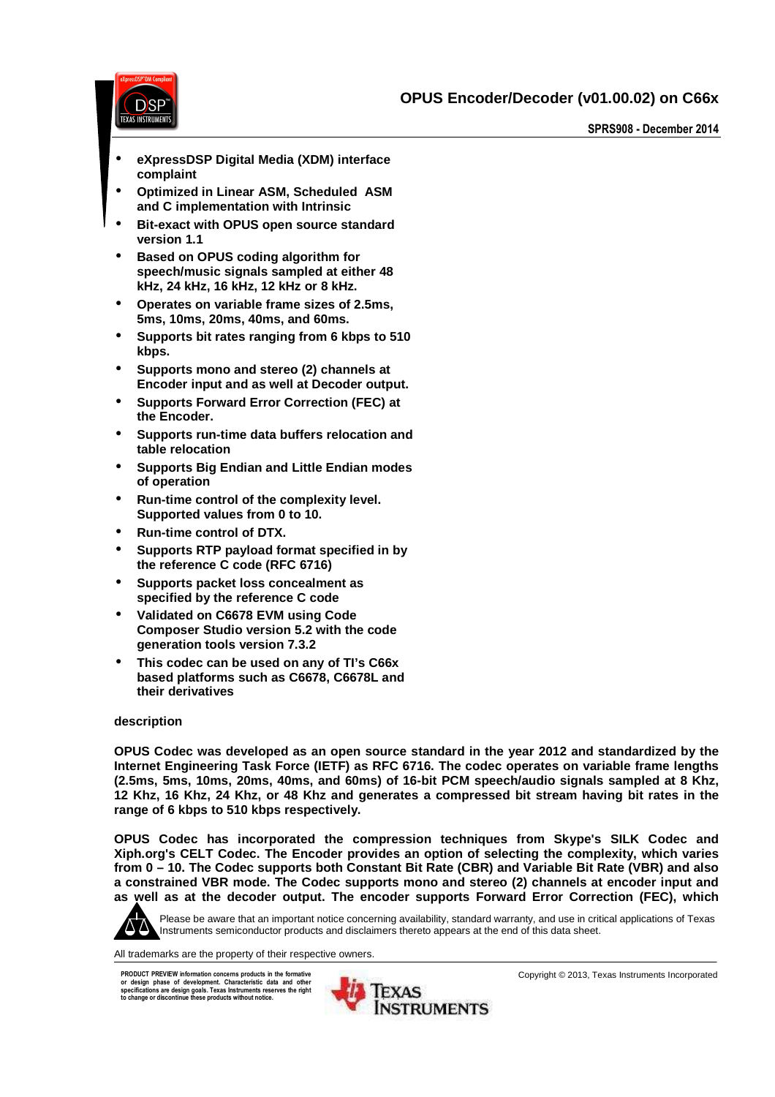**OPUS Encoder/Decoder (v01.00.02) on C66x** 



**SPRS908 - December 2014** 

- **eXpressDSP Digital Media (XDM) interface complaint**
- **Optimized in Linear ASM, Scheduled ASM and C implementation with Intrinsic**
- **Bit-exact with OPUS open source standard version 1.1**
- **Based on OPUS coding algorithm for speech/music signals sampled at either 48 kHz, 24 kHz, 16 kHz, 12 kHz or 8 kHz.**
- **Operates on variable frame sizes of 2.5ms, 5ms, 10ms, 20ms, 40ms, and 60ms.**
- **Supports bit rates ranging from 6 kbps to 510 kbps.**
- **Supports mono and stereo (2) channels at Encoder input and as well at Decoder output.**
- **Supports Forward Error Correction (FEC) at the Encoder.**
- **Supports run-time data buffers relocation and table relocation**
- **Supports Big Endian and Little Endian modes of operation**
- **Run-time control of the complexity level. Supported values from 0 to 10.**
- **Run-time control of DTX.**
- **Supports RTP payload format specified in by the reference C code (RFC 6716)**
- **Supports packet loss concealment as specified by the reference C code**
- **Validated on C6678 EVM using Code Composer Studio version 5.2 with the code generation tools version 7.3.2**
- **This codec can be used on any of TI's C66x based platforms such as C6678, C6678L and their derivatives**

#### **description**

**OPUS Codec was developed as an open source standard in the year 2012 and standardized by the Internet Engineering Task Force (IETF) as RFC 6716. The codec operates on variable frame lengths (2.5ms, 5ms, 10ms, 20ms, 40ms, and 60ms) of 16-bit PCM speech/audio signals sampled at 8 Khz, 12 Khz, 16 Khz, 24 Khz, or 48 Khz and generates a compressed bit stream having bit rates in the range of 6 kbps to 510 kbps respectively.** 

**OPUS Codec has incorporated the compression techniques from Skype's SILK Codec and Xiph.org's CELT Codec. The Encoder provides an option of selecting the complexity, which varies from 0 – 10. The Codec supports both Constant Bit Rate (CBR) and Variable Bit Rate (VBR) and also a constrained VBR mode. The Codec supports mono and stereo (2) channels at encoder input and as well as at the decoder output. The encoder supports Forward Error Correction (FEC), which** 



Please be aware that an important notice concerning availability, standard warranty, and use in critical applications of Texas Instruments semiconductor products and disclaimers thereto appears at the end of this data sheet.

All trademarks are the property of their respective owners.

**PRODUCT PREVIEW information concerns products in the formative or design phase of development. Characteristic data and other specifications are design goals. Texas Instruments reserves the right to change or discontinue these products without notice.** 



Copyright © 2013, Texas Instruments Incorporated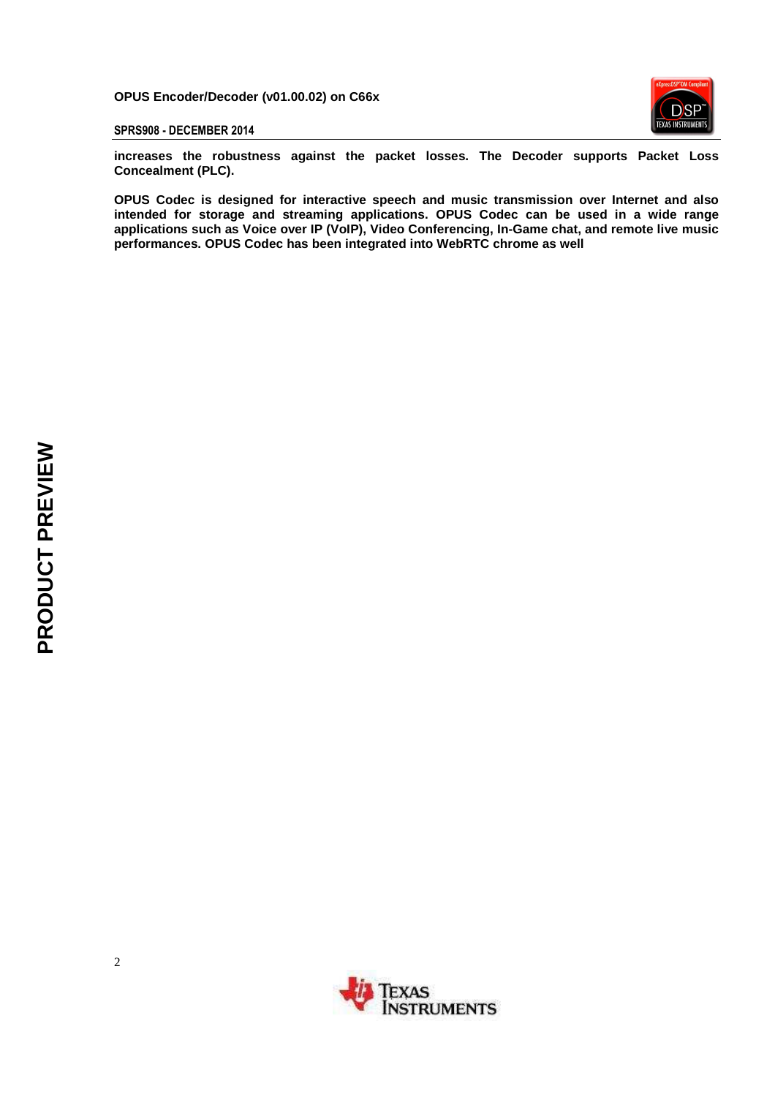**OPUS Encoder/Decoder (v01.00.02) on C66x** 



**SPRS908 - DECEMBER 2014**

**increases the robustness against the packet losses. The Decoder supports Packet Loss Concealment (PLC).** 

**OPUS Codec is designed for interactive speech and music transmission over Internet and also intended for storage and streaming applications. OPUS Codec can be used in a wide range applications such as Voice over IP (VoIP), Video Conferencing, In-Game chat, and remote live music performances. OPUS Codec has been integrated into WebRTC chrome as well** 

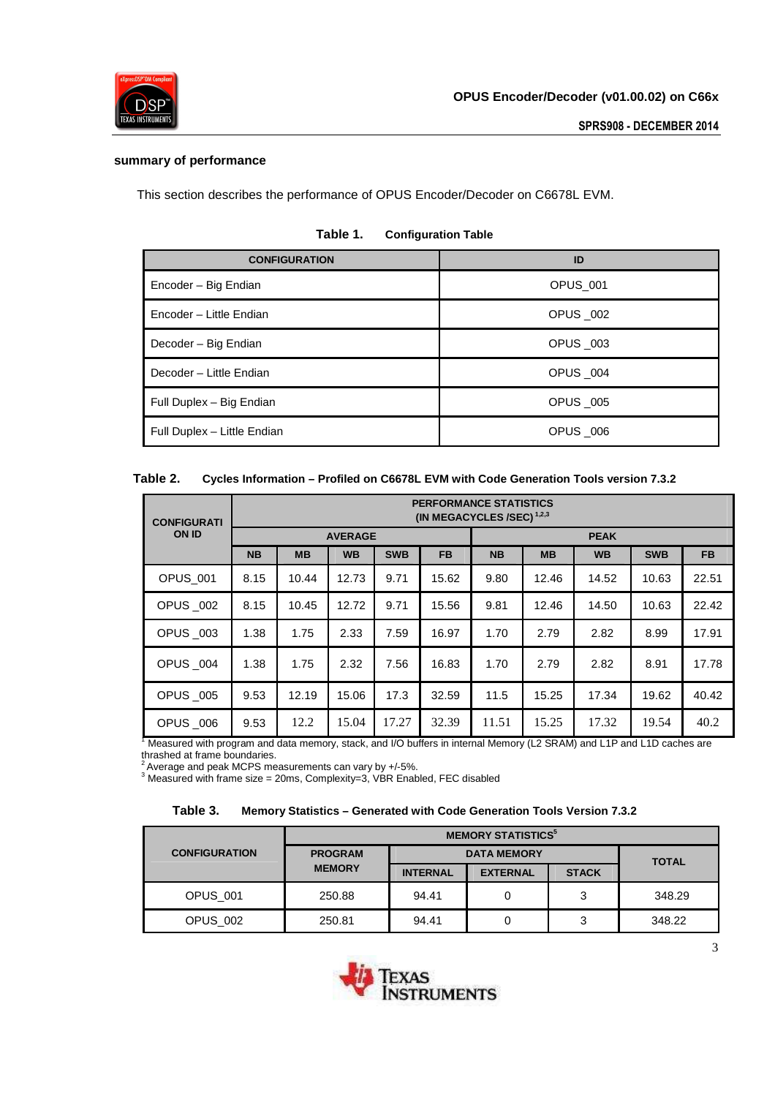

## **summary of performance**

This section describes the performance of OPUS Encoder/Decoder on C6678L EVM.

| <b>CONFIGURATION</b>        | ID       |
|-----------------------------|----------|
| Encoder - Big Endian        | OPUS 001 |
| Encoder - Little Endian     | OPUS 002 |
| Decoder - Big Endian        | OPUS 003 |
| Decoder - Little Endian     | OPUS 004 |
| Full Duplex - Big Endian    | OPUS 005 |
| Full Duplex - Little Endian | OPUS 006 |

## **Table 1. Configuration Table**

| Table 2. | Cycles Information - Profiled on C6678L EVM with Code Generation Tools version 7.3.2 |  |
|----------|--------------------------------------------------------------------------------------|--|
|          |                                                                                      |  |

| <b>CONFIGURATI</b> | <b>PERFORMANCE STATISTICS</b><br>(IN MEGACYCLES /SEC) <sup>1,2,3</sup> |           |                |            |             |           |           |           |            |           |
|--------------------|------------------------------------------------------------------------|-----------|----------------|------------|-------------|-----------|-----------|-----------|------------|-----------|
| <b>ON ID</b>       |                                                                        |           | <b>AVERAGE</b> |            | <b>PEAK</b> |           |           |           |            |           |
|                    | <b>NB</b>                                                              | <b>MB</b> | <b>WB</b>      | <b>SWB</b> | <b>FB</b>   | <b>NB</b> | <b>MB</b> | <b>WB</b> | <b>SWB</b> | <b>FB</b> |
| OPUS_001           | 8.15                                                                   | 10.44     | 12.73          | 9.71       | 15.62       | 9.80      | 12.46     | 14.52     | 10.63      | 22.51     |
| OPUS 002           | 8.15                                                                   | 10.45     | 12.72          | 9.71       | 15.56       | 9.81      | 12.46     | 14.50     | 10.63      | 22.42     |
| OPUS _003          | 1.38                                                                   | 1.75      | 2.33           | 7.59       | 16.97       | 1.70      | 2.79      | 2.82      | 8.99       | 17.91     |
| OPUS _004          | 1.38                                                                   | 1.75      | 2.32           | 7.56       | 16.83       | 1.70      | 2.79      | 2.82      | 8.91       | 17.78     |
| <b>OPUS _005</b>   | 9.53                                                                   | 12.19     | 15.06          | 17.3       | 32.59       | 11.5      | 15.25     | 17.34     | 19.62      | 40.42     |
| OPUS 006           | 9.53                                                                   | 12.2      | 15.04          | 17.27      | 32.39       | 11.51     | 15.25     | 17.32     | 19.54      | 40.2      |

<sup>1</sup> Measured with program and data memory, stack, and I/O buffers in internal Memory (L2 SRAM) and L1P and L1D caches are thrashed at frame boundaries.

 $^2$  Average and peak MCPS measurements can vary by +/-5%.<br><sup>3</sup> Measured with frame size = 20ms, Complexity=3, VBR Enabled, FEC disabled

| Table 3. | <b>Memory Statistics - Generated with Code Generation Tools Version 7.3.2</b> |  |  |  |
|----------|-------------------------------------------------------------------------------|--|--|--|
|----------|-------------------------------------------------------------------------------|--|--|--|

|                      | <b>MEMORY STATISTICS<sup>5</sup></b> |                 |                 |              |        |  |
|----------------------|--------------------------------------|-----------------|-----------------|--------------|--------|--|
| <b>CONFIGURATION</b> | <b>PROGRAM</b>                       | <b>TOTAL</b>    |                 |              |        |  |
|                      | <b>MEMORY</b>                        | <b>INTERNAL</b> | <b>EXTERNAL</b> | <b>STACK</b> |        |  |
| <b>OPUS_001</b>      | 250.88                               | 94.41           |                 |              | 348.29 |  |
| OPUS 002             | 250.81                               | 94.41           |                 |              | 348.22 |  |

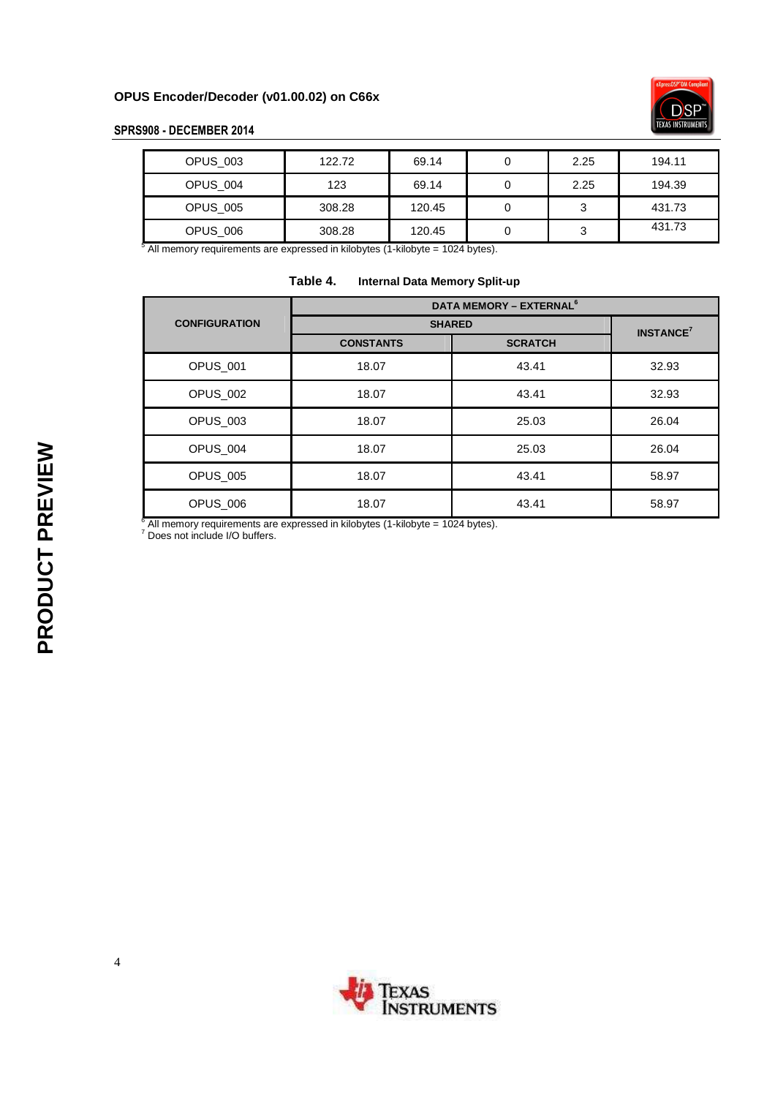

# **SPRS908 - DECEMBER 2014**

| OPUS 003 | 122.72 | 69.14  | 2.25 | 194.11 |
|----------|--------|--------|------|--------|
| OPUS 004 | 123    | 69.14  | 2.25 | 194.39 |
| OPUS 005 | 308.28 | 120.45 |      | 431.73 |
| OPUS 006 | 308.28 | 120.45 | ັ    | 431.73 |

 $5$  All memory requirements are expressed in kilobytes (1-kilobyte = 1024 bytes).

| Table 4. |  |  |  | <b>Internal Data Memory Split-up</b> |
|----------|--|--|--|--------------------------------------|
|----------|--|--|--|--------------------------------------|

|                      | <b>DATA MEMORY - EXTERNAL<sup>6</sup></b> |                   |       |  |  |
|----------------------|-------------------------------------------|-------------------|-------|--|--|
| <b>CONFIGURATION</b> | <b>SHARED</b>                             | <b>INSTANCE</b> 7 |       |  |  |
|                      | <b>CONSTANTS</b>                          | <b>SCRATCH</b>    |       |  |  |
| OPUS 001             | 18.07                                     | 43.41             | 32.93 |  |  |
| OPUS 002             | 18.07                                     | 43.41             | 32.93 |  |  |
| <b>OPUS 003</b>      | 18.07                                     | 25.03             | 26.04 |  |  |
| OPUS 004             | 18.07                                     | 25.03             | 26.04 |  |  |
| OPUS 005             | 18.07                                     | 43.41             | 58.97 |  |  |
| OPUS 006             | 18.07                                     | 43.41             | 58.97 |  |  |

 $^6$  All memory requirements are expressed in kilobytes (1-kilobyte = 1024 bytes).<br><sup>7</sup> Does not include I/O buffers.

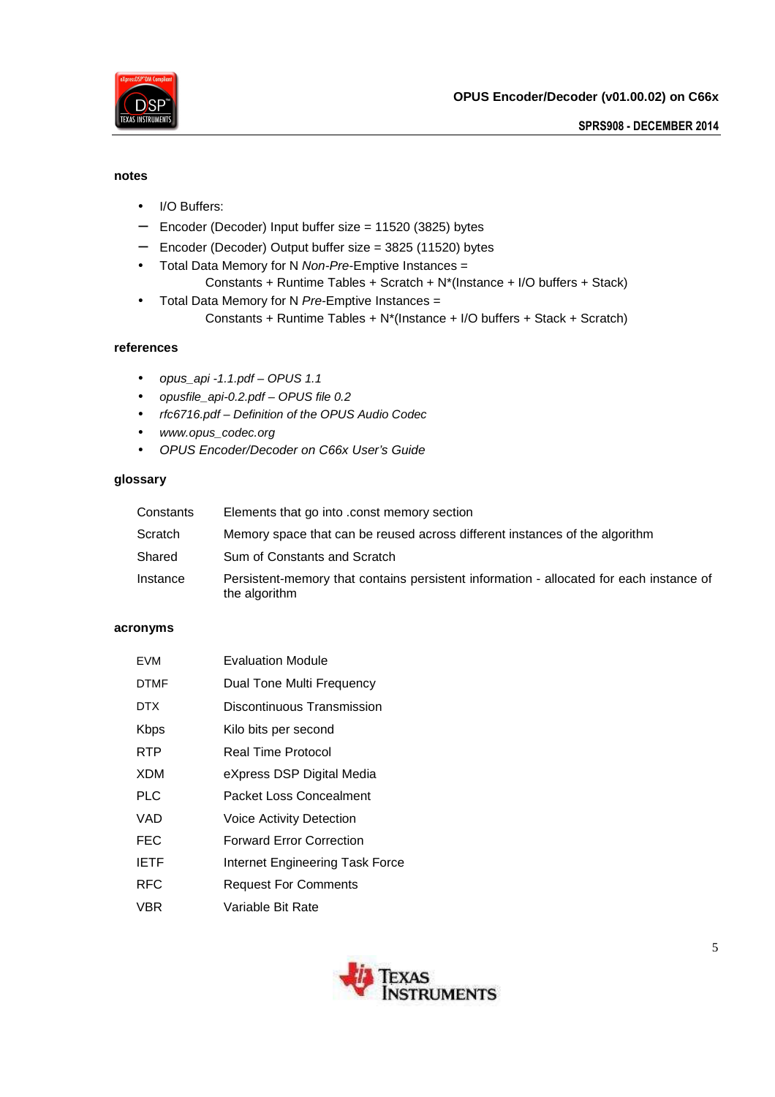

#### **notes**

- I/O Buffers:
- − Encoder (Decoder) Input buffer size = 11520 (3825) bytes
- − Encoder (Decoder) Output buffer size = 3825 (11520) bytes
- Total Data Memory for N Non-Pre-Emptive Instances =
	- Constants + Runtime Tables + Scratch + N\*(Instance + I/O buffers + Stack)
- Total Data Memory for N Pre-Emptive Instances = Constants + Runtime Tables + N\*(Instance + I/O buffers + Stack + Scratch)

## **references**

- opus\_api -1.1.pdf OPUS 1.1
- opusfile\_api-0.2.pdf OPUS file 0.2
- rfc6716.pdf Definition of the OPUS Audio Codec
- www.opus\_codec.org
- OPUS Encoder/Decoder on C66x User's Guide

## **glossary**

| Constants | Elements that go into .const memory section                                                              |
|-----------|----------------------------------------------------------------------------------------------------------|
| Scratch   | Memory space that can be reused across different instances of the algorithm                              |
| Shared    | Sum of Constants and Scratch                                                                             |
| Instance  | Persistent-memory that contains persistent information - allocated for each instance of<br>the algorithm |

#### **acronyms**

| <b>EVM</b>  | <b>Evaluation Module</b>        |
|-------------|---------------------------------|
| <b>DTMF</b> | Dual Tone Multi Frequency       |
| DTX.        | Discontinuous Transmission      |
| <b>Kbps</b> | Kilo bits per second            |
| RTP         | Real Time Protocol              |
| <b>XDM</b>  | eXpress DSP Digital Media       |
| <b>PLC</b>  | Packet Loss Concealment         |
| VAD         | <b>Voice Activity Detection</b> |
| <b>FEC</b>  | <b>Forward Error Correction</b> |
| <b>IETF</b> | Internet Engineering Task Force |
| <b>RFC</b>  | <b>Request For Comments</b>     |
| VBR         | Variable Bit Rate               |

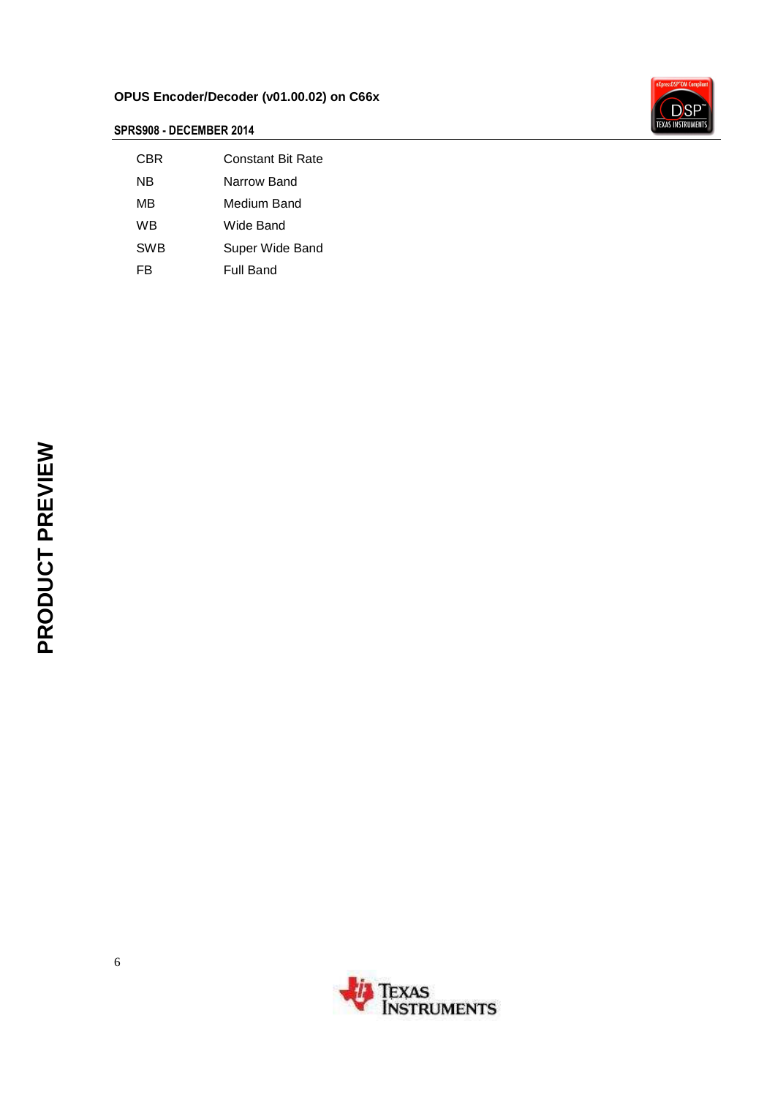# **OPUS Encoder/Decoder (v01.00.02) on C66x**



# **SPRS908 - DECEMBER 2014**

| CBR | Constant Bit Rate |
|-----|-------------------|
| ΝB  | Narrow Band       |
| MΒ  | Medium Band       |
| WB  | Wide Band         |
| SWB | Super Wide Band   |
| FR  | Full Band         |